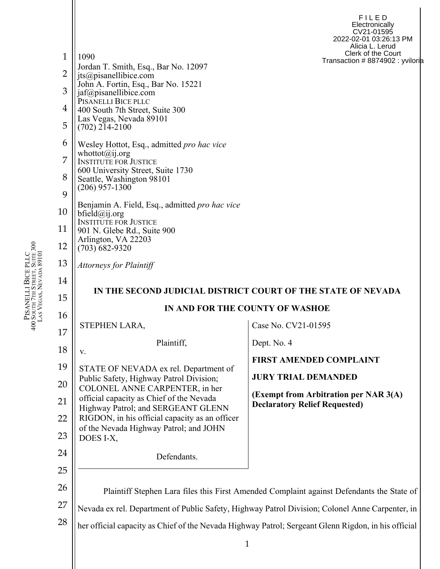F I L E D **Electronically** CV21-01595 2022-02-01 03:26:13 PM Alicia L. Lerud Clerk of the Court oria

| $\mathbf{1}$   | 1090                                                                                                    | Clerk of the Court<br>Transaction # 8874902 : yvilor                                                |  |
|----------------|---------------------------------------------------------------------------------------------------------|-----------------------------------------------------------------------------------------------------|--|
| $\overline{2}$ | Jordan T. Smith, Esq., Bar No. 12097<br>$its@p$ isanellibice.com<br>John A. Fortin, Esq., Bar No. 15221 |                                                                                                     |  |
| 3              | $i$ af@pisanellibice.com                                                                                |                                                                                                     |  |
| 4              | PISANELLI BICE PLLC<br>400 South 7th Street, Suite 300                                                  |                                                                                                     |  |
| 5              | Las Vegas, Nevada 89101<br>$(702)$ 214-2100                                                             |                                                                                                     |  |
| 6              | Wesley Hottot, Esq., admitted pro hac vice<br>whottot $(a)$ ij.org                                      |                                                                                                     |  |
| 7              | <b>INSTITUTE FOR JUSTICE</b>                                                                            |                                                                                                     |  |
| 8              | 600 University Street, Suite 1730<br>Seattle, Washington 98101                                          |                                                                                                     |  |
| 9              | $(206)$ 957-1300                                                                                        |                                                                                                     |  |
| 10             | Benjamin A. Field, Esq., admitted pro hac vice<br>bfield@ij.org                                         |                                                                                                     |  |
| 11             | <b>INSTITUTE FOR JUSTICE</b><br>901 N. Glebe Rd., Suite 900                                             |                                                                                                     |  |
| 12             | Arlington, VA 22203<br>$(703)$ 682-9320                                                                 |                                                                                                     |  |
| 13             | <b>Attorneys for Plaintiff</b>                                                                          |                                                                                                     |  |
| 14             |                                                                                                         |                                                                                                     |  |
| 15             |                                                                                                         | IN THE SECOND JUDICIAL DISTRICT COURT OF THE STATE OF NEVADA                                        |  |
| 16             |                                                                                                         | IN AND FOR THE COUNTY OF WASHOE                                                                     |  |
| 17             | STEPHEN LARA,                                                                                           | Case No. CV21-01595                                                                                 |  |
| 18             | Plaintiff,<br>V.                                                                                        | Dept. No. 4                                                                                         |  |
| 19             | STATE OF NEVADA ex rel. Department of                                                                   | <b>FIRST AMENDED COMPLAINT</b>                                                                      |  |
| 20             | Public Safety, Highway Patrol Division;                                                                 | <b>JURY TRIAL DEMANDED</b>                                                                          |  |
| 21             | COLONEL ANNE CARPENTER, in her<br>official capacity as Chief of the Nevada                              | (Exempt from Arbitration per NAR 3(A)                                                               |  |
| 22             | Highway Patrol; and SERGEANT GLENN<br>RIGDON, in his official capacity as an officer                    | <b>Declaratory Relief Requested)</b>                                                                |  |
| 23             | of the Nevada Highway Patrol; and JOHN                                                                  |                                                                                                     |  |
| 24             | DOES I-X,                                                                                               |                                                                                                     |  |
|                |                                                                                                         |                                                                                                     |  |
|                | Defendants.                                                                                             |                                                                                                     |  |
| 25             |                                                                                                         |                                                                                                     |  |
| 26             |                                                                                                         | Plaintiff Stephen Lara files this First Amended Complaint against Defendants the State of           |  |
|                |                                                                                                         | Nevada ex rel. Department of Public Safety, Highway Patrol Division; Colonel Anne Carpenter, in     |  |
| 27<br>28       |                                                                                                         | her official capacity as Chief of the Nevada Highway Patrol; Sergeant Glenn Rigdon, in his official |  |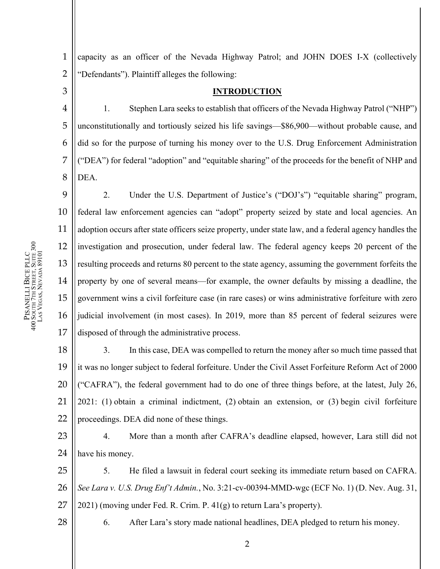3

1 2 capacity as an officer of the Nevada Highway Patrol; and JOHN DOES I-X (collectively "Defendants"). Plaintiff alleges the following:

#### **INTRODUCTION**

4 5 6 7 8 1. Stephen Lara seeks to establish that officers of the Nevada Highway Patrol ("NHP") unconstitutionally and tortiously seized his life savings—\$86,900—without probable cause, and did so for the purpose of turning his money over to the U.S. Drug Enforcement Administration ("DEA") for federal "adoption" and "equitable sharing" of the proceeds for the benefit of NHP and DEA.

9 10 11 12 13 14 15 16 17 2. Under the U.S. Department of Justice's ("DOJ's") "equitable sharing" program, federal law enforcement agencies can "adopt" property seized by state and local agencies. An adoption occurs after state officers seize property, under state law, and a federal agency handles the investigation and prosecution, under federal law. The federal agency keeps 20 percent of the resulting proceeds and returns 80 percent to the state agency, assuming the government forfeits the property by one of several means—for example, the owner defaults by missing a deadline, the government wins a civil forfeiture case (in rare cases) or wins administrative forfeiture with zero judicial involvement (in most cases). In 2019, more than 85 percent of federal seizures were disposed of through the administrative process.

18 19 20 21 22 3. In this case, DEA was compelled to return the money after so much time passed that it was no longer subject to federal forfeiture. Under the Civil Asset Forfeiture Reform Act of 2000 ("CAFRA"), the federal government had to do one of three things before, at the latest, July 26, 2021: (1) obtain a criminal indictment, (2) obtain an extension, or (3) begin civil forfeiture proceedings. DEA did none of these things.

23 24 4. More than a month after CAFRA's deadline elapsed, however, Lara still did not have his money.

25 26 27 5. He filed a lawsuit in federal court seeking its immediate return based on CAFRA. *See Lara v. U.S. Drug Enf't Admin.*, No. 3:21-cv-00394-MMD-wgc (ECF No. 1) (D. Nev. Aug. 31,  $2021$ ) (moving under Fed. R. Crim. P.  $41(g)$  to return Lara's property).

28

6. After Lara's story made national headlines, DEA pledged to return his money.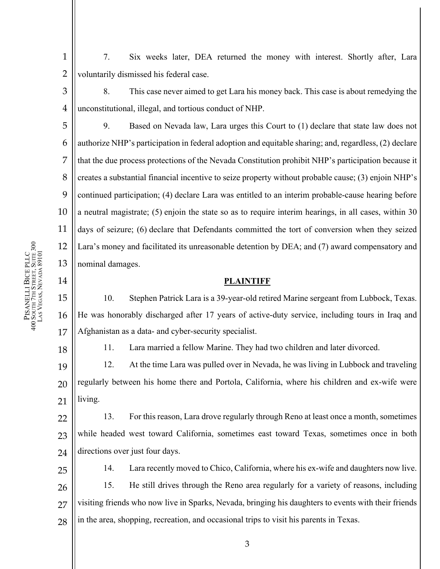1 2 7. Six weeks later, DEA returned the money with interest. Shortly after, Lara voluntarily dismissed his federal case.

3 4 8. This case never aimed to get Lara his money back. This case is about remedying the unconstitutional, illegal, and tortious conduct of NHP.

8 10 12 13 9. Based on Nevada law, Lara urges this Court to (1) declare that state law does not authorize NHP's participation in federal adoption and equitable sharing; and, regardless, (2) declare that the due process protections of the Nevada Constitution prohibit NHP's participation because it creates a substantial financial incentive to seize property without probable cause; (3) enjoin NHP's continued participation; (4) declare Lara was entitled to an interim probable-cause hearing before a neutral magistrate; (5) enjoin the state so as to require interim hearings, in all cases, within 30 days of seizure; (6) declare that Defendants committed the tort of conversion when they seized Lara's money and facilitated its unreasonable detention by DEA; and (7) award compensatory and nominal damages.

### **PLAINTIFF**

15 16 17 10. Stephen Patrick Lara is a 39-year-old retired Marine sergeant from Lubbock, Texas. He was honorably discharged after 17 years of active-duty service, including tours in Iraq and Afghanistan as a data- and cyber-security specialist.

11. Lara married a fellow Marine. They had two children and later divorced.

19 20 21 12. At the time Lara was pulled over in Nevada, he was living in Lubbock and traveling regularly between his home there and Portola, California, where his children and ex-wife were living.

22 23 24 13. For this reason, Lara drove regularly through Reno at least once a month, sometimes while headed west toward California, sometimes east toward Texas, sometimes once in both directions over just four days.

25 26 27 28 14. Lara recently moved to Chico, California, where his ex-wife and daughters now live. 15. He still drives through the Reno area regularly for a variety of reasons, including visiting friends who now live in Sparks, Nevada, bringing his daughters to events with their friends in the area, shopping, recreation, and occasional trips to visit his parents in Texas.

5

6

7

9

11

14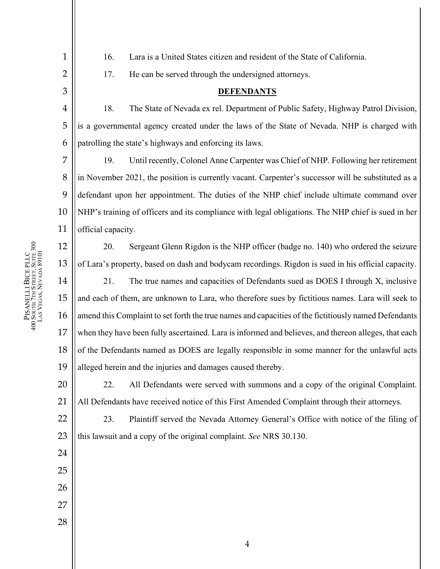1

2

3

4

5

6

22

23

24

25

26

27

28

- 16. Lara is a United States citizen and resident of the State of California.
- 17. He can be served through the undersigned attorneys.

# **DEFENDANTS**

18. The State of Nevada ex rel. Department of Public Safety, Highway Patrol Division, is a governmental agency created under the laws of the State of Nevada. NHP is charged with patrolling the state's highways and enforcing its laws.

7 8 9 10 11 19. Until recently, Colonel Anne Carpenter was Chief of NHP. Following her retirement in November 2021, the position is currently vacant. Carpenter's successor will be substituted as a defendant upon her appointment. The duties of the NHP chief include ultimate command over NHP's training of officers and its compliance with legal obligations. The NHP chief is sued in her official capacity.

12 13 14 15 16 17 18 19 20. Sergeant Glenn Rigdon is the NHP officer (badge no. 140) who ordered the seizure of Lara's property, based on dash and bodycam recordings. Rigdon is sued in his official capacity. 21. The true names and capacities of Defendants sued as DOES I through X, inclusive and each of them, are unknown to Lara, who therefore sues by fictitious names. Lara will seek to amend this Complaint to set forth the true names and capacities of the fictitiously named Defendants when they have been fully ascertained. Lara is informed and believes, and thereon alleges, that each of the Defendants named as DOES are legally responsible in some manner for the unlawful acts alleged herein and the injuries and damages caused thereby.

20 21 22. All Defendants were served with summons and a copy of the original Complaint. All Defendants have received notice of this First Amended Complaint through their attorneys.

23. Plaintiff served the Nevada Attorney General's Office with notice of the filing of this lawsuit and a copy of the original complaint. *See* NRS 30.130.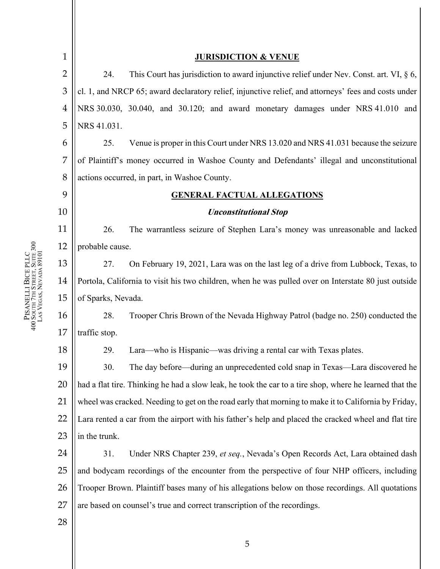| $\mathbf{1}$   | <b>JURISDICTION &amp; VENUE</b>                                                                         |                                                                                              |  |  |  |
|----------------|---------------------------------------------------------------------------------------------------------|----------------------------------------------------------------------------------------------|--|--|--|
| $\overline{2}$ | 24.                                                                                                     | This Court has jurisdiction to award injunctive relief under Nev. Const. art. VI, § 6,       |  |  |  |
| 3              | cl. 1, and NRCP 65; award declaratory relief, injunctive relief, and attorneys' fees and costs under    |                                                                                              |  |  |  |
| 4              |                                                                                                         | NRS 30.030, 30.040, and 30.120; and award monetary damages under NRS 41.010 and              |  |  |  |
| 5              | NRS 41.031.                                                                                             |                                                                                              |  |  |  |
| 6              | 25.                                                                                                     | Venue is proper in this Court under NRS 13.020 and NRS 41.031 because the seizure            |  |  |  |
| $\overline{7}$ | of Plaintiff's money occurred in Washoe County and Defendants' illegal and unconstitutional             |                                                                                              |  |  |  |
| 8              |                                                                                                         | actions occurred, in part, in Washoe County.                                                 |  |  |  |
| 9              |                                                                                                         | <b>GENERAL FACTUAL ALLEGATIONS</b>                                                           |  |  |  |
| 10             |                                                                                                         | <b>Unconstitutional Stop</b>                                                                 |  |  |  |
| 11             | 26.                                                                                                     | The warrantless seizure of Stephen Lara's money was unreasonable and lacked                  |  |  |  |
| 12             | probable cause.                                                                                         |                                                                                              |  |  |  |
| 13             | 27.                                                                                                     | On February 19, 2021, Lara was on the last leg of a drive from Lubbock, Texas, to            |  |  |  |
| 14             | Portola, California to visit his two children, when he was pulled over on Interstate 80 just outside    |                                                                                              |  |  |  |
| 15             | of Sparks, Nevada.                                                                                      |                                                                                              |  |  |  |
| 16             | 28.                                                                                                     | Trooper Chris Brown of the Nevada Highway Patrol (badge no. 250) conducted the               |  |  |  |
| 17             | traffic stop.                                                                                           |                                                                                              |  |  |  |
| 18             | 29.                                                                                                     | Lara—who is Hispanic—was driving a rental car with Texas plates.                             |  |  |  |
| 19             | 30.                                                                                                     | The day before—during an unprecedented cold snap in Texas—Lara discovered he                 |  |  |  |
| 20             | had a flat tire. Thinking he had a slow leak, he took the car to a tire shop, where he learned that the |                                                                                              |  |  |  |
| 21             | wheel was cracked. Needing to get on the road early that morning to make it to California by Friday,    |                                                                                              |  |  |  |
| 22             | Lara rented a car from the airport with his father's help and placed the cracked wheel and flat tire    |                                                                                              |  |  |  |
| 23             | in the trunk.                                                                                           |                                                                                              |  |  |  |
| 24             | 31.                                                                                                     | Under NRS Chapter 239, et seq., Nevada's Open Records Act, Lara obtained dash                |  |  |  |
| 25             |                                                                                                         | and bodycam recordings of the encounter from the perspective of four NHP officers, including |  |  |  |
| 26             | Trooper Brown. Plaintiff bases many of his allegations below on those recordings. All quotations        |                                                                                              |  |  |  |
| 27             | are based on counsel's true and correct transcription of the recordings.                                |                                                                                              |  |  |  |
| 28             |                                                                                                         |                                                                                              |  |  |  |
|                |                                                                                                         |                                                                                              |  |  |  |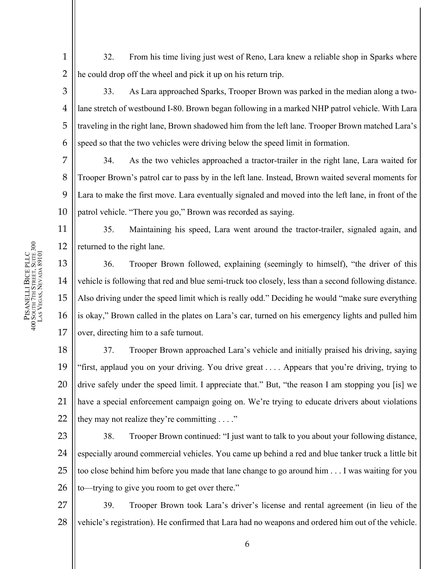1 2 32. From his time living just west of Reno, Lara knew a reliable shop in Sparks where he could drop off the wheel and pick it up on his return trip.

3 4 5 6 33. As Lara approached Sparks, Trooper Brown was parked in the median along a twolane stretch of westbound I-80. Brown began following in a marked NHP patrol vehicle. With Lara traveling in the right lane, Brown shadowed him from the left lane. Trooper Brown matched Lara's speed so that the two vehicles were driving below the speed limit in formation.

7 8 9 10 34. As the two vehicles approached a tractor-trailer in the right lane, Lara waited for Trooper Brown's patrol car to pass by in the left lane. Instead, Brown waited several moments for Lara to make the first move. Lara eventually signaled and moved into the left lane, in front of the patrol vehicle. "There you go," Brown was recorded as saying.

35. Maintaining his speed, Lara went around the tractor-trailer, signaled again, and returned to the right lane.

13 14 15 16 17 36. Trooper Brown followed, explaining (seemingly to himself), "the driver of this vehicle is following that red and blue semi-truck too closely, less than a second following distance. Also driving under the speed limit which is really odd." Deciding he would "make sure everything is okay," Brown called in the plates on Lara's car, turned on his emergency lights and pulled him over, directing him to a safe turnout.

18 19 20 21 22 37. Trooper Brown approached Lara's vehicle and initially praised his driving, saying "first, applaud you on your driving. You drive great . . . . Appears that you're driving, trying to drive safely under the speed limit. I appreciate that." But, "the reason I am stopping you [is] we have a special enforcement campaign going on. We're trying to educate drivers about violations they may not realize they're committing  $\dots$ ."

23 24 25 26 38. Trooper Brown continued: "I just want to talk to you about your following distance, especially around commercial vehicles. You came up behind a red and blue tanker truck a little bit too close behind him before you made that lane change to go around him . . . I was waiting for you to—trying to give you room to get over there."

27 28 39. Trooper Brown took Lara's driver's license and rental agreement (in lieu of the vehicle's registration). He confirmed that Lara had no weapons and ordered him out of the vehicle.

11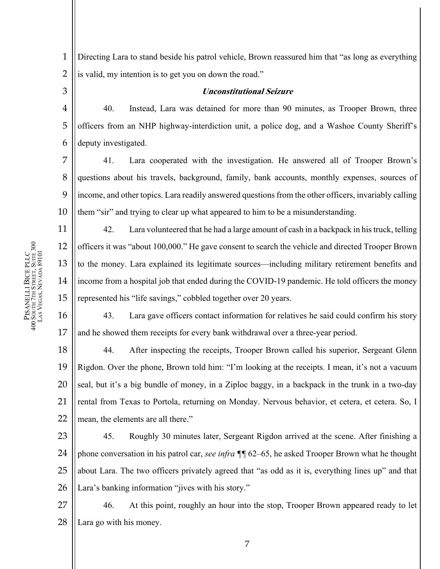3

4

5

6

11

12

13

14

15

1 2 Directing Lara to stand beside his patrol vehicle, Brown reassured him that "as long as everything is valid, my intention is to get you on down the road."

#### **Unconstitutional Seizure**

40. Instead, Lara was detained for more than 90 minutes, as Trooper Brown, three officers from an NHP highway-interdiction unit, a police dog, and a Washoe County Sheriff's deputy investigated.

7 8 9 10 41. Lara cooperated with the investigation. He answered all of Trooper Brown's questions about his travels, background, family, bank accounts, monthly expenses, sources of income, and other topics. Lara readily answered questions from the other officers, invariably calling them "sir" and trying to clear up what appeared to him to be a misunderstanding.

42. Lara volunteered that he had a large amount of cash in a backpack in his truck, telling officers it was "about 100,000." He gave consent to search the vehicle and directed Trooper Brown to the money. Lara explained its legitimate sources—including military retirement benefits and income from a hospital job that ended during the COVID-19 pandemic. He told officers the money represented his "life savings," cobbled together over 20 years.

16 17 43. Lara gave officers contact information for relatives he said could confirm his story and he showed them receipts for every bank withdrawal over a three-year period.

18 19 20 21 22 44. After inspecting the receipts, Trooper Brown called his superior, Sergeant Glenn Rigdon. Over the phone, Brown told him: "I'm looking at the receipts. I mean, it's not a vacuum seal, but it's a big bundle of money, in a Ziploc baggy, in a backpack in the trunk in a two-day rental from Texas to Portola, returning on Monday. Nervous behavior, et cetera, et cetera. So, I mean, the elements are all there."

23 24 25 26 45. Roughly 30 minutes later, Sergeant Rigdon arrived at the scene. After finishing a phone conversation in his patrol car, *see infra ¶¶* 62–65, he asked Trooper Brown what he thought about Lara. The two officers privately agreed that "as odd as it is, everything lines up" and that Lara's banking information "jives with his story."

27 28 46. At this point, roughly an hour into the stop, Trooper Brown appeared ready to let Lara go with his money.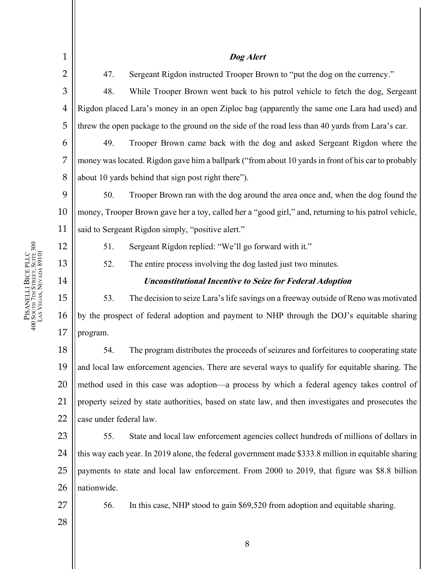| $\mathbf{1}$   |                                                                                                      | Dog Alert                                                                                           |  |  |  |
|----------------|------------------------------------------------------------------------------------------------------|-----------------------------------------------------------------------------------------------------|--|--|--|
| $\overline{2}$ | 47.                                                                                                  | Sergeant Rigdon instructed Trooper Brown to "put the dog on the currency."                          |  |  |  |
| 3              | 48.                                                                                                  | While Trooper Brown went back to his patrol vehicle to fetch the dog, Sergeant                      |  |  |  |
| $\overline{4}$ |                                                                                                      | Rigdon placed Lara's money in an open Ziploc bag (apparently the same one Lara had used) and        |  |  |  |
| 5              | threw the open package to the ground on the side of the road less than 40 yards from Lara's car.     |                                                                                                     |  |  |  |
| 6              | 49.                                                                                                  | Trooper Brown came back with the dog and asked Sergeant Rigdon where the                            |  |  |  |
| 7              | money was located. Rigdon gave him a ballpark ("from about 10 yards in front of his car to probably  |                                                                                                     |  |  |  |
| 8              | about 10 yards behind that sign post right there").                                                  |                                                                                                     |  |  |  |
| 9              | 50.                                                                                                  | Trooper Brown ran with the dog around the area once and, when the dog found the                     |  |  |  |
| 10             | money, Trooper Brown gave her a toy, called her a "good girl," and, returning to his patrol vehicle, |                                                                                                     |  |  |  |
| 11             | said to Sergeant Rigdon simply, "positive alert."                                                    |                                                                                                     |  |  |  |
| 12             | 51.                                                                                                  | Sergeant Rigdon replied: "We'll go forward with it."                                                |  |  |  |
| 13             | 52.                                                                                                  | The entire process involving the dog lasted just two minutes.                                       |  |  |  |
| 14             |                                                                                                      | <b>Unconstitutional Incentive to Seize for Federal Adoption</b>                                     |  |  |  |
| 15             | 53.                                                                                                  | The decision to seize Lara's life savings on a freeway outside of Reno was motivated                |  |  |  |
| 16             | by the prospect of federal adoption and payment to NHP through the DOJ's equitable sharing           |                                                                                                     |  |  |  |
| 17             | program.                                                                                             |                                                                                                     |  |  |  |
| 18             | 54.                                                                                                  | The program distributes the proceeds of seizures and forfeitures to cooperating state               |  |  |  |
| 19             | and local law enforcement agencies. There are several ways to qualify for equitable sharing. The     |                                                                                                     |  |  |  |
| 20             | method used in this case was adoption—a process by which a federal agency takes control of           |                                                                                                     |  |  |  |
| 21             | property seized by state authorities, based on state law, and then investigates and prosecutes the   |                                                                                                     |  |  |  |
| 22             | case under federal law.                                                                              |                                                                                                     |  |  |  |
| 23             | 55.                                                                                                  | State and local law enforcement agencies collect hundreds of millions of dollars in                 |  |  |  |
| 24             |                                                                                                      | this way each year. In 2019 alone, the federal government made \$333.8 million in equitable sharing |  |  |  |
| 25             | payments to state and local law enforcement. From 2000 to 2019, that figure was \$8.8 billion        |                                                                                                     |  |  |  |
| 26             | nationwide.                                                                                          |                                                                                                     |  |  |  |
| 27             | 56.                                                                                                  | In this case, NHP stood to gain \$69,520 from adoption and equitable sharing.                       |  |  |  |
| 28             |                                                                                                      |                                                                                                     |  |  |  |
|                |                                                                                                      | 8                                                                                                   |  |  |  |

 $\parallel$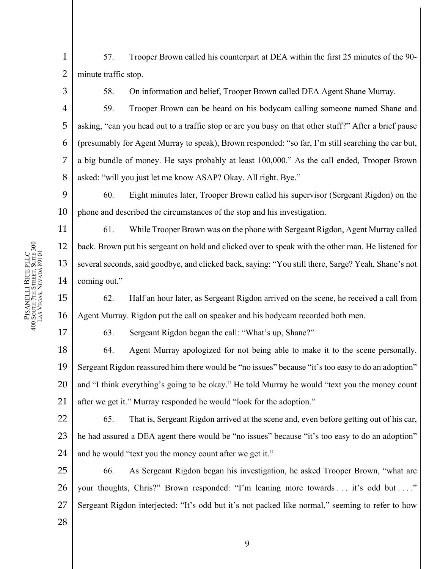1 2 57. Trooper Brown called his counterpart at DEA within the first 25 minutes of the 90 minute traffic stop.

3

4

5

6

7

8

11

12

13

14

15

PISANELLI

BICE PLLC

400 SOUTH 7TH STREET, SUITE 300 PISANELLI BICE PLLC<br>400 South 7th Street, Suite 300<br>Las Vegas, Nevada 89101 VEGAS, NEVADA 89101

58. On information and belief, Trooper Brown called DEA Agent Shane Murray.

59. Trooper Brown can be heard on his bodycam calling someone named Shane and asking, "can you head out to a traffic stop or are you busy on that other stuff?" After a brief pause (presumably for Agent Murray to speak), Brown responded: "so far, I'm still searching the car but, a big bundle of money. He says probably at least 100,000." As the call ended, Trooper Brown asked: "will you just let me know ASAP? Okay. All right. Bye."

9 10 60. Eight minutes later, Trooper Brown called his supervisor (Sergeant Rigdon) on the phone and described the circumstances of the stop and his investigation.

61. While Trooper Brown was on the phone with Sergeant Rigdon, Agent Murray called back. Brown put his sergeant on hold and clicked over to speak with the other man. He listened for several seconds, said goodbye, and clicked back, saying: "You still there, Sarge? Yeah, Shane's not coming out."

62. Half an hour later, as Sergeant Rigdon arrived on the scene, he received a call from Agent Murray. Rigdon put the call on speaker and his bodycam recorded both men.

17

16

63. Sergeant Rigdon began the call: "What's up, Shane?"

18 19 20 21 64. Agent Murray apologized for not being able to make it to the scene personally. Sergeant Rigdon reassured him there would be "no issues" because "it's too easy to do an adoption" and "I think everything's going to be okay." He told Murray he would "text you the money count after we get it." Murray responded he would "look for the adoption."

22 23 24 65. That is, Sergeant Rigdon arrived at the scene and, even before getting out of his car, he had assured a DEA agent there would be "no issues" because "it's too easy to do an adoption" and he would "text you the money count after we get it."

25 26 27 66. As Sergeant Rigdon began his investigation, he asked Trooper Brown, "what are your thoughts, Chris?" Brown responded: "I'm leaning more towards . . . it's odd but . . . ." Sergeant Rigdon interjected: "It's odd but it's not packed like normal," seeming to refer to how

28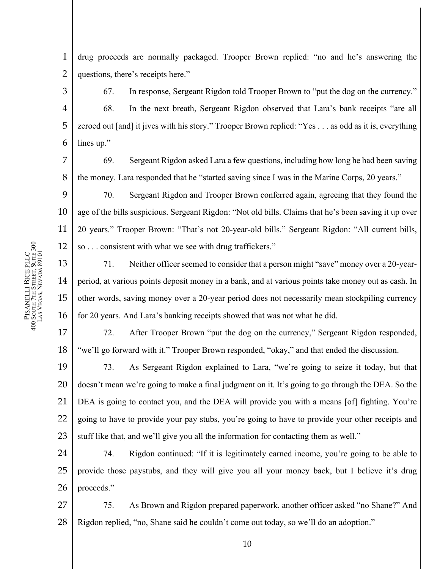1 2 drug proceeds are normally packaged. Trooper Brown replied: "no and he's answering the questions, there's receipts here."

3 4 5 6 67. In response, Sergeant Rigdon told Trooper Brown to "put the dog on the currency." 68. In the next breath, Sergeant Rigdon observed that Lara's bank receipts "are all zeroed out [and] it jives with his story." Trooper Brown replied: "Yes . . . as odd as it is, everything lines up."

69. Sergeant Rigdon asked Lara a few questions, including how long he had been saving the money. Lara responded that he "started saving since I was in the Marine Corps, 20 years."

9 10 11 12 70. Sergeant Rigdon and Trooper Brown conferred again, agreeing that they found the age of the bills suspicious. Sergeant Rigdon: "Not old bills. Claims that he's been saving it up over 20 years." Trooper Brown: "That's not 20-year-old bills." Sergeant Rigdon: "All current bills, so . . . consistent with what we see with drug traffickers."

13 14 15 16 71. Neither officer seemed to consider that a person might "save" money over a 20-yearperiod, at various points deposit money in a bank, and at various points take money out as cash. In other words, saving money over a 20-year period does not necessarily mean stockpiling currency for 20 years. And Lara's banking receipts showed that was not what he did.

72. After Trooper Brown "put the dog on the currency," Sergeant Rigdon responded, "we'll go forward with it." Trooper Brown responded, "okay," and that ended the discussion.

19 20 21 22 23 73. As Sergeant Rigdon explained to Lara, "we're going to seize it today, but that doesn't mean we're going to make a final judgment on it. It's going to go through the DEA. So the DEA is going to contact you, and the DEA will provide you with a means [of] fighting. You're going to have to provide your pay stubs, you're going to have to provide your other receipts and stuff like that, and we'll give you all the information for contacting them as well."

24 25 26 74. Rigdon continued: "If it is legitimately earned income, you're going to be able to provide those paystubs, and they will give you all your money back, but I believe it's drug proceeds."

27 28 75. As Brown and Rigdon prepared paperwork, another officer asked "no Shane?" And Rigdon replied, "no, Shane said he couldn't come out today, so we'll do an adoption."

PISANELLI BICE PLLC 400 SOUTH 7TH STREET, SUITE 300 PISANELLI BICE PLLC<br>400 South 7th Street, Suite 300<br>Las Vegas, Nevada 89101 VEGAS, NEVADA 89101

7

8

17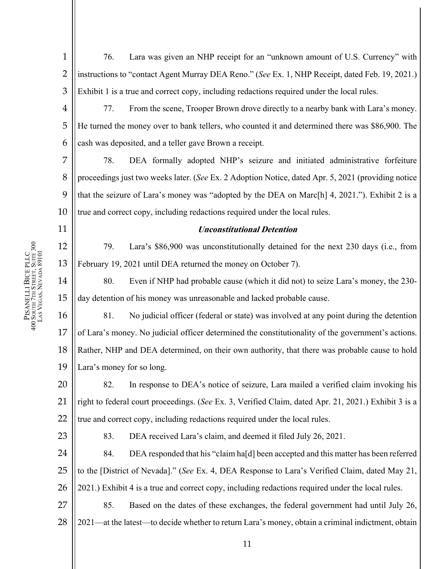11

12

13

1 2 3 76. Lara was given an NHP receipt for an "unknown amount of U.S. Currency" with instructions to "contact Agent Murray DEA Reno." (*See* Ex. 1, NHP Receipt, dated Feb. 19, 2021.) Exhibit 1 is a true and correct copy, including redactions required under the local rules.

4 5 6 77. From the scene, Trooper Brown drove directly to a nearby bank with Lara's money. He turned the money over to bank tellers, who counted it and determined there was \$86,900. The cash was deposited, and a teller gave Brown a receipt.

7 8 9 10 78. DEA formally adopted NHP's seizure and initiated administrative forfeiture proceedings just two weeks later. (*See* Ex. 2 Adoption Notice, dated Apr. 5, 2021 (providing notice that the seizure of Lara's money was "adopted by the DEA on Marc[h] 4, 2021."). Exhibit 2 is a true and correct copy, including redactions required under the local rules.

## **Unconstitutional Detention**

79. Lara's \$86,900 was unconstitutionally detained for the next 230 days (i.e., from February 19, 2021 until DEA returned the money on October 7).

14 15 80. Even if NHP had probable cause (which it did not) to seize Lara's money, the 230 day detention of his money was unreasonable and lacked probable cause.

16 17 18 19 81. No judicial officer (federal or state) was involved at any point during the detention of Lara's money. No judicial officer determined the constitutionality of the government's actions. Rather, NHP and DEA determined, on their own authority, that there was probable cause to hold Lara's money for so long.

20 21 22 82. In response to DEA's notice of seizure, Lara mailed a verified claim invoking his right to federal court proceedings. (*See* Ex. 3, Verified Claim, dated Apr. 21, 2021.) Exhibit 3 is a true and correct copy, including redactions required under the local rules.

23

83. DEA received Lara's claim, and deemed it filed July 26, 2021.

24 25 26 84. DEA responded that his "claim ha[d] been accepted and this matter has been referred to the [District of Nevada]." (*See* Ex. 4, DEA Response to Lara's Verified Claim, dated May 21, 2021.) Exhibit 4 is a true and correct copy, including redactions required under the local rules.

27 28 85. Based on the dates of these exchanges, the federal government had until July 26, 2021—at the latest—to decide whether to return Lara's money, obtain a criminal indictment, obtain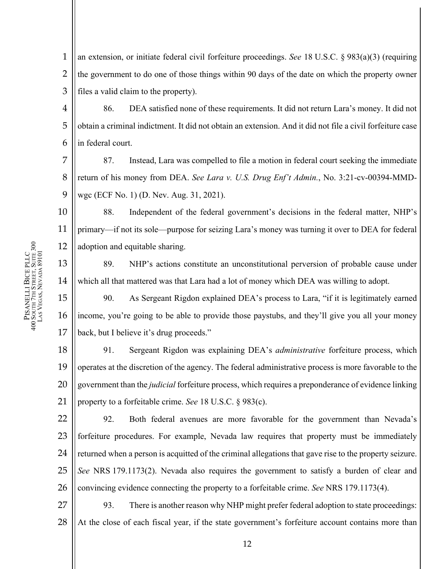13

14

1 2 3 an extension, or initiate federal civil forfeiture proceedings. *See* 18 U.S.C. § 983(a)(3) (requiring the government to do one of those things within 90 days of the date on which the property owner files a valid claim to the property).

4 5 6 86. DEA satisfied none of these requirements. It did not return Lara's money. It did not obtain a criminal indictment. It did not obtain an extension. And it did not file a civil forfeiture case in federal court.

7 8 9 87. Instead, Lara was compelled to file a motion in federal court seeking the immediate return of his money from DEA. *See Lara v. U.S. Drug Enf't Admin.*, No. 3:21-cv-00394-MMDwgc (ECF No. 1) (D. Nev. Aug. 31, 2021).

10 11 12 88. Independent of the federal government's decisions in the federal matter, NHP's primary—if not its sole—purpose for seizing Lara's money was turning it over to DEA for federal adoption and equitable sharing.

89. NHP's actions constitute an unconstitutional perversion of probable cause under which all that mattered was that Lara had a lot of money which DEA was willing to adopt.

15 16 17 90. As Sergeant Rigdon explained DEA's process to Lara, "if it is legitimately earned income, you're going to be able to provide those paystubs, and they'll give you all your money back, but I believe it's drug proceeds."

18 19 20 21 91. Sergeant Rigdon was explaining DEA's *administrative* forfeiture process, which operates at the discretion of the agency. The federal administrative process is more favorable to the government than the *judicial* forfeiture process, which requires a preponderance of evidence linking property to a forfeitable crime. *See* 18 U.S.C. § 983(c).

22 23 24 25 26 92. Both federal avenues are more favorable for the government than Nevada's forfeiture procedures. For example, Nevada law requires that property must be immediately returned when a person is acquitted of the criminal allegations that gave rise to the property seizure. *See* NRS 179.1173(2). Nevada also requires the government to satisfy a burden of clear and convincing evidence connecting the property to a forfeitable crime. *See* NRS 179.1173(4).

27 28 93. There is another reason why NHP might prefer federal adoption to state proceedings: At the close of each fiscal year, if the state government's forfeiture account contains more than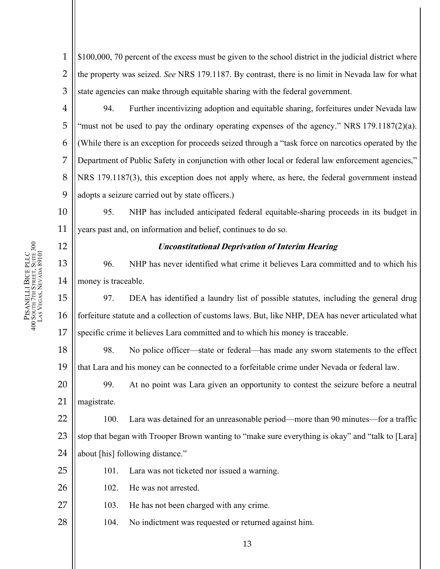12

25

26

27

28

1 2 3 \$100,000, 70 percent of the excess must be given to the school district in the judicial district where the property was seized. *See* NRS 179.1187. By contrast, there is no limit in Nevada law for what state agencies can make through equitable sharing with the federal government.

4 5 6 7 8 9 94. Further incentivizing adoption and equitable sharing, forfeitures under Nevada law "must not be used to pay the ordinary operating expenses of the agency." NRS 179.1187(2)(a). (While there is an exception for proceeds seized through a "task force on narcotics operated by the Department of Public Safety in conjunction with other local or federal law enforcement agencies," NRS 179.1187(3), this exception does not apply where, as here, the federal government instead adopts a seizure carried out by state officers.)

10 11 95. NHP has included anticipated federal equitable-sharing proceeds in its budget in years past and, on information and belief, continues to do so.

# **Unconstitutional Deprivation of Interim Hearing**

13 14 96. NHP has never identified what crime it believes Lara committed and to which his money is traceable.

15 16 17 97. DEA has identified a laundry list of possible statutes, including the general drug forfeiture statute and a collection of customs laws. But, like NHP, DEA has never articulated what specific crime it believes Lara committed and to which his money is traceable.

18 19 98. No police officer—state or federal—has made any sworn statements to the effect that Lara and his money can be connected to a forfeitable crime under Nevada or federal law.

20 21 99. At no point was Lara given an opportunity to contest the seizure before a neutral magistrate.

22 23 24 100. Lara was detained for an unreasonable period—more than 90 minutes—for a traffic stop that began with Trooper Brown wanting to "make sure everything is okay" and "talk to [Lara] about [his] following distance."

- 101. Lara was not ticketed nor issued a warning.
- 102. He was not arrested.
- 103. He has not been charged with any crime.
	- 104. No indictment was requested or returned against him.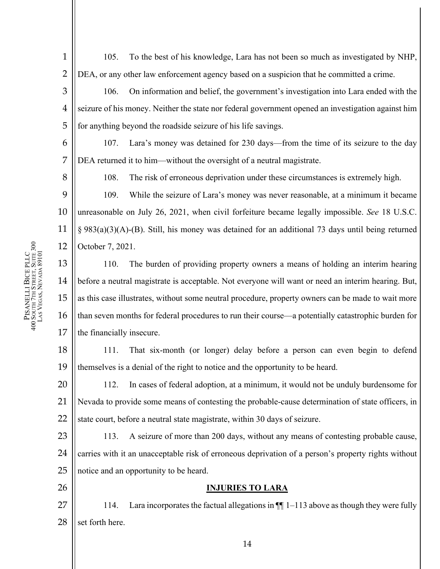105. To the best of his knowledge, Lara has not been so much as investigated by NHP, DEA, or any other law enforcement agency based on a suspicion that he committed a crime.

3 4 5 106. On information and belief, the government's investigation into Lara ended with the seizure of his money. Neither the state nor federal government opened an investigation against him for anything beyond the roadside seizure of his life savings.

6 107. Lara's money was detained for 230 days—from the time of its seizure to the day DEA returned it to him—without the oversight of a neutral magistrate.

108. The risk of erroneous deprivation under these circumstances is extremely high.

9 10 11 12 109. While the seizure of Lara's money was never reasonable, at a minimum it became unreasonable on July 26, 2021, when civil forfeiture became legally impossible. *See* 18 U.S.C. § 983(a)(3)(A)-(B). Still, his money was detained for an additional 73 days until being returned October 7, 2021.

13 14 15 16 17 110. The burden of providing property owners a means of holding an interim hearing before a neutral magistrate is acceptable. Not everyone will want or need an interim hearing. But, as this case illustrates, without some neutral procedure, property owners can be made to wait more than seven months for federal procedures to run their course—a potentially catastrophic burden for the financially insecure.

18 19 111. That six-month (or longer) delay before a person can even begin to defend themselves is a denial of the right to notice and the opportunity to be heard.

20 21 22 112. In cases of federal adoption, at a minimum, it would not be unduly burdensome for Nevada to provide some means of contesting the probable-cause determination of state officers, in state court, before a neutral state magistrate, within 30 days of seizure.

23 24 25 113. A seizure of more than 200 days, without any means of contesting probable cause, carries with it an unacceptable risk of erroneous deprivation of a person's property rights without notice and an opportunity to be heard.

26

**INJURIES TO LARA** 

27 28 114. Lara incorporates the factual allegations in  $\P$  1–113 above as though they were fully set forth here.

1

2

7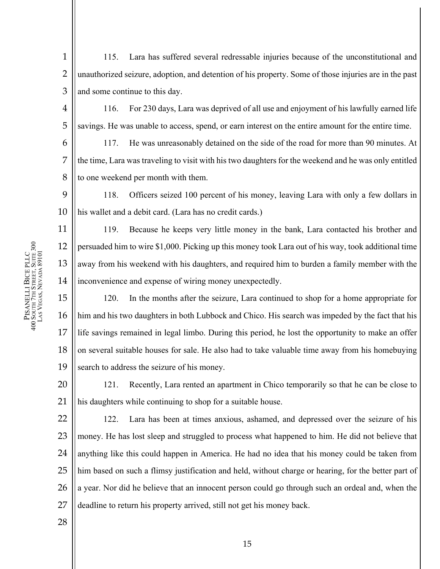1 2 3 115. Lara has suffered several redressable injuries because of the unconstitutional and unauthorized seizure, adoption, and detention of his property. Some of those injuries are in the past and some continue to this day.

4 116. For 230 days, Lara was deprived of all use and enjoyment of his lawfully earned life savings. He was unable to access, spend, or earn interest on the entire amount for the entire time.

6 7 8 117. He was unreasonably detained on the side of the road for more than 90 minutes. At the time, Lara was traveling to visit with his two daughters for the weekend and he was only entitled to one weekend per month with them.

9 10 118. Officers seized 100 percent of his money, leaving Lara with only a few dollars in his wallet and a debit card. (Lara has no credit cards.)

14 119. Because he keeps very little money in the bank, Lara contacted his brother and persuaded him to wire \$1,000. Picking up this money took Lara out of his way, took additional time away from his weekend with his daughters, and required him to burden a family member with the inconvenience and expense of wiring money unexpectedly.

15 16 17 18 19 120. In the months after the seizure, Lara continued to shop for a home appropriate for him and his two daughters in both Lubbock and Chico. His search was impeded by the fact that his life savings remained in legal limbo. During this period, he lost the opportunity to make an offer on several suitable houses for sale. He also had to take valuable time away from his homebuying search to address the seizure of his money.

20 21 121. Recently, Lara rented an apartment in Chico temporarily so that he can be close to his daughters while continuing to shop for a suitable house.

22 23 24 25 26 27 122. Lara has been at times anxious, ashamed, and depressed over the seizure of his money. He has lost sleep and struggled to process what happened to him. He did not believe that anything like this could happen in America. He had no idea that his money could be taken from him based on such a flimsy justification and held, without charge or hearing, for the better part of a year. Nor did he believe that an innocent person could go through such an ordeal and, when the deadline to return his property arrived, still not get his money back.

28

PISANELLI BICE PLLC 400 SOUTH 7TH STREET, SUITE 300 PISANELLI BICE PLLC<br>400 South 7th Street, Suite 300<br>Las Vegas, Nevada 89101 VEGAS, NEVADA 89101

5

11

12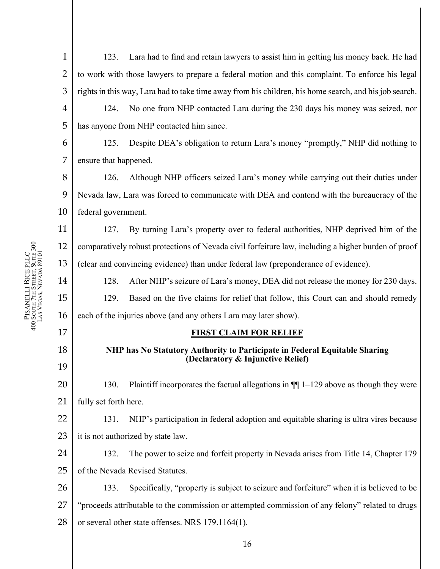16 1 2 3 4 5 6 7 8 9 10 11 12 13 14 15 16 17 18 19 20 21 22 23 24 25 26 27 28 123. Lara had to find and retain lawyers to assist him in getting his money back. He had to work with those lawyers to prepare a federal motion and this complaint. To enforce his legal rights in this way, Lara had to take time away from his children, his home search, and his job search. 124. No one from NHP contacted Lara during the 230 days his money was seized, nor has anyone from NHP contacted him since. 125. Despite DEA's obligation to return Lara's money "promptly," NHP did nothing to ensure that happened. 126. Although NHP officers seized Lara's money while carrying out their duties under Nevada law, Lara was forced to communicate with DEA and contend with the bureaucracy of the federal government. 127. By turning Lara's property over to federal authorities, NHP deprived him of the comparatively robust protections of Nevada civil forfeiture law, including a higher burden of proof (clear and convincing evidence) than under federal law (preponderance of evidence). 128. After NHP's seizure of Lara's money, DEA did not release the money for 230 days. 129. Based on the five claims for relief that follow, this Court can and should remedy each of the injuries above (and any others Lara may later show). **FIRST CLAIM FOR RELIEF NHP has No Statutory Authority to Participate in Federal Equitable Sharing (Declaratory & Injunctive Relief)**  130. Plaintiff incorporates the factual allegations in  $\P$  1–129 above as though they were fully set forth here. 131. NHP's participation in federal adoption and equitable sharing is ultra vires because it is not authorized by state law. 132. The power to seize and forfeit property in Nevada arises from Title 14, Chapter 179 of the Nevada Revised Statutes. 133. Specifically, "property is subject to seizure and forfeiture" when it is believed to be "proceeds attributable to the commission or attempted commission of any felony" related to drugs or several other state offenses. NRS 179.1164(1).

PISANELLI BICE PLLC 400 SOUTH 7TH STREET, SUITE 300 PISANELLI BICE PLLC<br>400 South 7th Street, Suite 300<br>Las Vegas, Nevada 89101 VEGAS, NEVADA 89101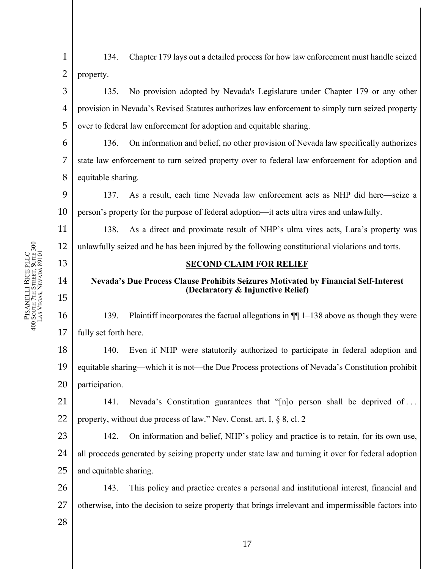| $\mathbf{1}$   | 134.                                                                                                                     | Chapter 179 lays out a detailed process for how law enforcement must handle seized                   |  |  |
|----------------|--------------------------------------------------------------------------------------------------------------------------|------------------------------------------------------------------------------------------------------|--|--|
| $\overline{2}$ | property.                                                                                                                |                                                                                                      |  |  |
| $\mathfrak{Z}$ | 135.                                                                                                                     | No provision adopted by Nevada's Legislature under Chapter 179 or any other                          |  |  |
| $\overline{4}$ |                                                                                                                          | provision in Nevada's Revised Statutes authorizes law enforcement to simply turn seized property     |  |  |
| 5              |                                                                                                                          | over to federal law enforcement for adoption and equitable sharing.                                  |  |  |
| 6              | 136.                                                                                                                     | On information and belief, no other provision of Nevada law specifically authorizes                  |  |  |
| $\overline{7}$ | state law enforcement to turn seized property over to federal law enforcement for adoption and                           |                                                                                                      |  |  |
| $8\,$          | equitable sharing.                                                                                                       |                                                                                                      |  |  |
| 9              | 137.                                                                                                                     | As a result, each time Nevada law enforcement acts as NHP did here—seize a                           |  |  |
| 10             |                                                                                                                          | person's property for the purpose of federal adoption—it acts ultra vires and unlawfully.            |  |  |
| 11             | 138.                                                                                                                     | As a direct and proximate result of NHP's ultra vires acts, Lara's property was                      |  |  |
| 12             |                                                                                                                          | unlawfully seized and he has been injured by the following constitutional violations and torts.      |  |  |
| 13             | <b>SECOND CLAIM FOR RELIEF</b>                                                                                           |                                                                                                      |  |  |
| 14             | Nevada's Due Process Clause Prohibits Seizures Motivated by Financial Self-Interest<br>(Declaratory & Injunctive Relief) |                                                                                                      |  |  |
| 15             |                                                                                                                          |                                                                                                      |  |  |
|                |                                                                                                                          |                                                                                                      |  |  |
| 16             | 139.                                                                                                                     | Plaintiff incorporates the factual allegations in $\P$ 1–138 above as though they were               |  |  |
| 17             | fully set forth here.                                                                                                    |                                                                                                      |  |  |
| 18             | 140.                                                                                                                     | Even if NHP were statutorily authorized to participate in federal adoption and                       |  |  |
| 19             |                                                                                                                          | equitable sharing—which it is not—the Due Process protections of Nevada's Constitution prohibit      |  |  |
| 20             | participation.                                                                                                           |                                                                                                      |  |  |
| 21             | 141.                                                                                                                     | Nevada's Constitution guarantees that "[n]o person shall be deprived of                              |  |  |
| 22             |                                                                                                                          | property, without due process of law." Nev. Const. art. I, § 8, cl. 2                                |  |  |
| 23             | 142.                                                                                                                     | On information and belief, NHP's policy and practice is to retain, for its own use,                  |  |  |
| 24             |                                                                                                                          | all proceeds generated by seizing property under state law and turning it over for federal adoption  |  |  |
| 25             | and equitable sharing.                                                                                                   |                                                                                                      |  |  |
| 26             | 143.                                                                                                                     | This policy and practice creates a personal and institutional interest, financial and                |  |  |
| 27             |                                                                                                                          | otherwise, into the decision to seize property that brings irrelevant and impermissible factors into |  |  |
| 28             |                                                                                                                          |                                                                                                      |  |  |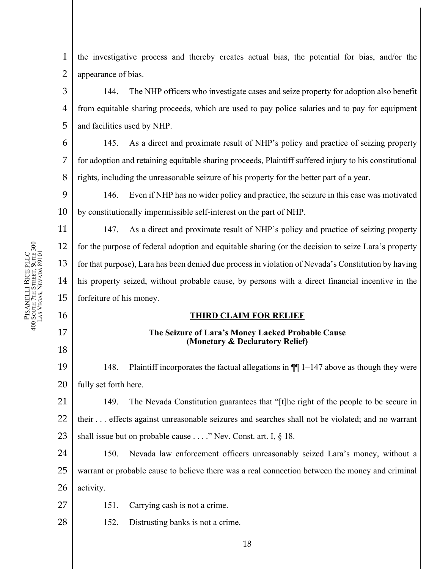16

17

18

27

28

1 2 the investigative process and thereby creates actual bias, the potential for bias, and/or the appearance of bias.

3 4 5 144. The NHP officers who investigate cases and seize property for adoption also benefit from equitable sharing proceeds, which are used to pay police salaries and to pay for equipment and facilities used by NHP.

6 7 8 145. As a direct and proximate result of NHP's policy and practice of seizing property for adoption and retaining equitable sharing proceeds, Plaintiff suffered injury to his constitutional rights, including the unreasonable seizure of his property for the better part of a year.

9 10 146. Even if NHP has no wider policy and practice, the seizure in this case was motivated by constitutionally impermissible self-interest on the part of NHP.

11 12 13 14 15 147. As a direct and proximate result of NHP's policy and practice of seizing property for the purpose of federal adoption and equitable sharing (or the decision to seize Lara's property for that purpose), Lara has been denied due process in violation of Nevada's Constitution by having his property seized, without probable cause, by persons with a direct financial incentive in the forfeiture of his money.

# **THIRD CLAIM FOR RELIEF**

## **The Seizure of Lara's Money Lacked Probable Cause (Monetary & Declaratory Relief)**

19 20 148. Plaintiff incorporates the factual allegations in  $\P$  1–147 above as though they were fully set forth here.

21 22 23 149. The Nevada Constitution guarantees that "[t]he right of the people to be secure in their . . . effects against unreasonable seizures and searches shall not be violated; and no warrant shall issue but on probable cause . . . ." Nev. Const. art. I, § 18.

24 25 26 150. Nevada law enforcement officers unreasonably seized Lara's money, without a warrant or probable cause to believe there was a real connection between the money and criminal activity.

- 151. Carrying cash is not a crime.
- 152. Distrusting banks is not a crime.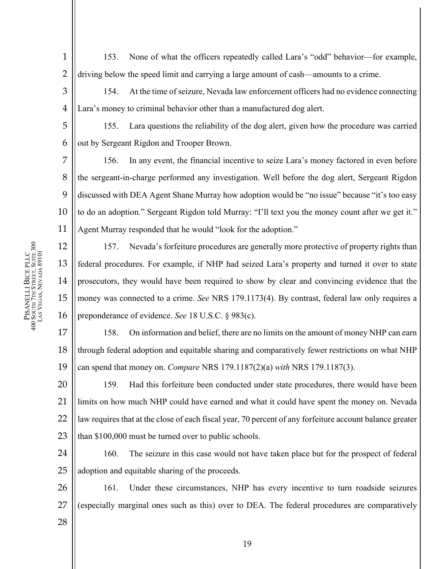- 1 2 153. None of what the officers repeatedly called Lara's "odd" behavior—for example, driving below the speed limit and carrying a large amount of cash—amounts to a crime.
- 3 4 154. At the time of seizure, Nevada law enforcement officers had no evidence connecting Lara's money to criminal behavior other than a manufactured dog alert.
- 5 6 155. Lara questions the reliability of the dog alert, given how the procedure was carried out by Sergeant Rigdon and Trooper Brown.

7 8 9 10 11 156. In any event, the financial incentive to seize Lara's money factored in even before the sergeant-in-charge performed any investigation. Well before the dog alert, Sergeant Rigdon discussed with DEA Agent Shane Murray how adoption would be "no issue" because "it's too easy to do an adoption." Sergeant Rigdon told Murray: "I'll text you the money count after we get it." Agent Murray responded that he would "look for the adoption."

12 13 14 15 16 157. Nevada's forfeiture procedures are generally more protective of property rights than federal procedures. For example, if NHP had seized Lara's property and turned it over to state prosecutors, they would have been required to show by clear and convincing evidence that the money was connected to a crime. *See* NRS 179.1173(4). By contrast, federal law only requires a preponderance of evidence. *See* 18 U.S.C. § 983(c).

17 18 19 158. On information and belief, there are no limits on the amount of money NHP can earn through federal adoption and equitable sharing and comparatively fewer restrictions on what NHP can spend that money on. *Compare* NRS 179.1187(2)(a) *with* NRS 179.1187(3).

20 21 22 23 159. Had this forfeiture been conducted under state procedures, there would have been limits on how much NHP could have earned and what it could have spent the money on. Nevada law requires that at the close of each fiscal year, 70 percent of any forfeiture account balance greater than \$100,000 must be turned over to public schools.

- 24 25 160. The seizure in this case would not have taken place but for the prospect of federal adoption and equitable sharing of the proceeds.
- 26 27 161. Under these circumstances, NHP has every incentive to turn roadside seizures (especially marginal ones such as this) over to DEA. The federal procedures are comparatively
- 28

PISANELLI BICE PLLC 400 SOUTH 7TH STREET, SUITE 300 PISANELLI BICE PLLC<br>400 South 7th Street, Suite 300<br>Las Vegas, Nevada 89101 VEGAS, NEVADA 89101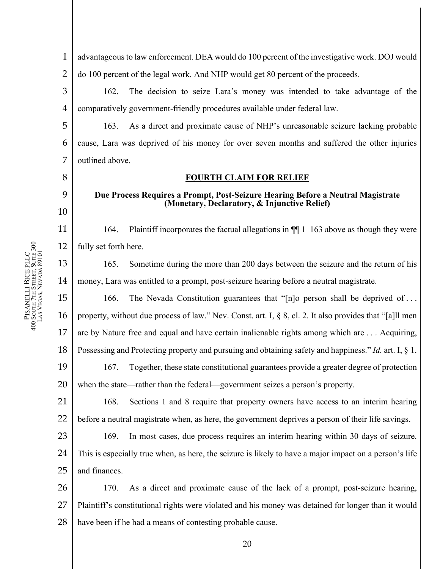8

9

10

11

12

1 2 advantageous to law enforcement. DEA would do 100 percent of the investigative work. DOJ would do 100 percent of the legal work. And NHP would get 80 percent of the proceeds.

3 4 162. The decision to seize Lara's money was intended to take advantage of the comparatively government-friendly procedures available under federal law.

5 6 7 163. As a direct and proximate cause of NHP's unreasonable seizure lacking probable cause, Lara was deprived of his money for over seven months and suffered the other injuries outlined above.

### **FOURTH CLAIM FOR RELIEF**

### **Due Process Requires a Prompt, Post-Seizure Hearing Before a Neutral Magistrate (Monetary, Declaratory, & Injunctive Relief)**

164. Plaintiff incorporates the factual allegations in  $\P$ [ 1–163 above as though they were fully set forth here.

13 14 165. Sometime during the more than 200 days between the seizure and the return of his money, Lara was entitled to a prompt, post-seizure hearing before a neutral magistrate.

15 16 17 18 19 20 166. The Nevada Constitution guarantees that "[n]o person shall be deprived of . . . property, without due process of law." Nev. Const. art. I, § 8, cl. 2. It also provides that "[a]ll men are by Nature free and equal and have certain inalienable rights among which are . . . Acquiring, Possessing and Protecting property and pursuing and obtaining safety and happiness." *Id.* art. I, § 1. 167. Together, these state constitutional guarantees provide a greater degree of protection when the state—rather than the federal—government seizes a person's property.

21 22 168. Sections 1 and 8 require that property owners have access to an interim hearing before a neutral magistrate when, as here, the government deprives a person of their life savings.

23 24 25 169. In most cases, due process requires an interim hearing within 30 days of seizure. This is especially true when, as here, the seizure is likely to have a major impact on a person's life and finances.

26 27 28 170. As a direct and proximate cause of the lack of a prompt, post-seizure hearing, Plaintiff's constitutional rights were violated and his money was detained for longer than it would have been if he had a means of contesting probable cause.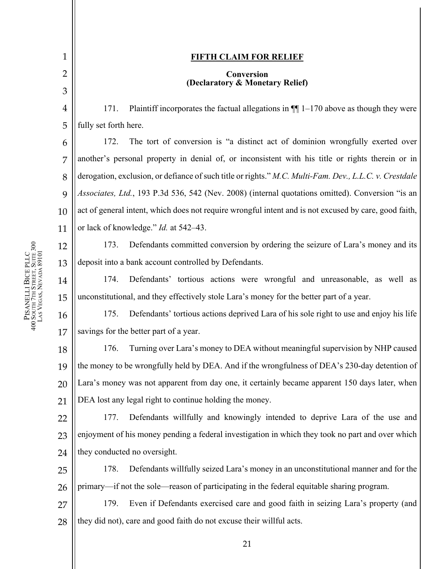| 1              | <b>FIFTH CLAIM FOR RELIEF</b>                                                                          |  |  |  |
|----------------|--------------------------------------------------------------------------------------------------------|--|--|--|
| $\overline{2}$ | Conversion                                                                                             |  |  |  |
| 3              | (Declaratory & Monetary Relief)                                                                        |  |  |  |
| 4              | Plaintiff incorporates the factual allegations in $\P$ 1–170 above as though they were<br>171.         |  |  |  |
| 5              | fully set forth here.                                                                                  |  |  |  |
| 6              | The tort of conversion is "a distinct act of dominion wrongfully exerted over<br>172.                  |  |  |  |
| 7              | another's personal property in denial of, or inconsistent with his title or rights therein or in       |  |  |  |
| 8              | derogation, exclusion, or defiance of such title or rights." M.C. Multi-Fam. Dev., L.L.C. v. Crestdale |  |  |  |
| 9              | Associates, Ltd., 193 P.3d 536, 542 (Nev. 2008) (internal quotations omitted). Conversion "is an       |  |  |  |
| 10             | act of general intent, which does not require wrongful intent and is not excused by care, good faith,  |  |  |  |
| 11             | or lack of knowledge." <i>Id.</i> at 542–43.                                                           |  |  |  |
| 12             | Defendants committed conversion by ordering the seizure of Lara's money and its<br>173.                |  |  |  |
| 13             | deposit into a bank account controlled by Defendants.                                                  |  |  |  |
| 14             | Defendants' tortious actions were wrongful and unreasonable, as well as<br>174.                        |  |  |  |
| 15             | unconstitutional, and they effectively stole Lara's money for the better part of a year.               |  |  |  |
| 16             | Defendants' tortious actions deprived Lara of his sole right to use and enjoy his life<br>175.         |  |  |  |
| 17             | savings for the better part of a year.                                                                 |  |  |  |
| 18             | Turning over Lara's money to DEA without meaningful supervision by NHP caused<br>176.                  |  |  |  |
| 19             | the money to be wrongfully held by DEA. And if the wrongfulness of DEA's 230-day detention of          |  |  |  |
| 20             | Lara's money was not apparent from day one, it certainly became apparent 150 days later, when          |  |  |  |
| 21             | DEA lost any legal right to continue holding the money.                                                |  |  |  |
| 22             | Defendants willfully and knowingly intended to deprive Lara of the use and<br>177.                     |  |  |  |
| 23             | enjoyment of his money pending a federal investigation in which they took no part and over which       |  |  |  |
| 24             | they conducted no oversight.                                                                           |  |  |  |
| 25             | Defendants willfully seized Lara's money in an unconstitutional manner and for the<br>178.             |  |  |  |
| 26             | primary—if not the sole—reason of participating in the federal equitable sharing program.              |  |  |  |
| 27             | Even if Defendants exercised care and good faith in seizing Lara's property (and<br>179.               |  |  |  |
| 28             | they did not), care and good faith do not excuse their willful acts.                                   |  |  |  |
|                |                                                                                                        |  |  |  |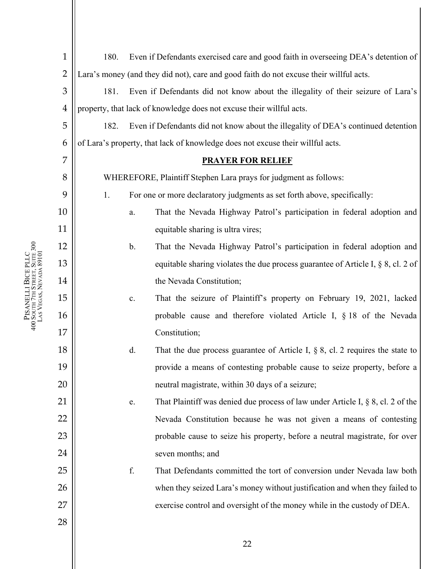| $\mathbf{1}$   | Even if Defendants exercised care and good faith in overseeing DEA's detention of<br>180. |                |                                                                                    |  |  |
|----------------|-------------------------------------------------------------------------------------------|----------------|------------------------------------------------------------------------------------|--|--|
| $\overline{2}$ | Lara's money (and they did not), care and good faith do not excuse their willful acts.    |                |                                                                                    |  |  |
| 3              | Even if Defendants did not know about the illegality of their seizure of Lara's<br>181.   |                |                                                                                    |  |  |
| $\overline{4}$ | property, that lack of knowledge does not excuse their willful acts.                      |                |                                                                                    |  |  |
| 5              | Even if Defendants did not know about the illegality of DEA's continued detention<br>182. |                |                                                                                    |  |  |
| 6              | of Lara's property, that lack of knowledge does not excuse their willful acts.            |                |                                                                                    |  |  |
| 7              |                                                                                           |                | <b>PRAYER FOR RELIEF</b>                                                           |  |  |
| 8              | WHEREFORE, Plaintiff Stephen Lara prays for judgment as follows:                          |                |                                                                                    |  |  |
| 9              | 1.                                                                                        |                | For one or more declaratory judgments as set forth above, specifically:            |  |  |
| 10             |                                                                                           | a.             | That the Nevada Highway Patrol's participation in federal adoption and             |  |  |
| 11             |                                                                                           |                | equitable sharing is ultra vires;                                                  |  |  |
| 12             |                                                                                           | b.             | That the Nevada Highway Patrol's participation in federal adoption and             |  |  |
| 13             |                                                                                           |                | equitable sharing violates the due process guarantee of Article I, § 8, cl. 2 of   |  |  |
| 14             |                                                                                           |                | the Nevada Constitution;                                                           |  |  |
| 15             |                                                                                           | $\mathbf{c}$ . | That the seizure of Plaintiff's property on February 19, 2021, lacked              |  |  |
| 16             |                                                                                           |                | probable cause and therefore violated Article I, § 18 of the Nevada                |  |  |
| 17             |                                                                                           |                | Constitution;                                                                      |  |  |
| 18             |                                                                                           | d.             | That the due process guarantee of Article I, $\S$ 8, cl. 2 requires the state to   |  |  |
| 19             |                                                                                           |                | provide a means of contesting probable cause to seize property, before a           |  |  |
| 20             |                                                                                           |                | neutral magistrate, within 30 days of a seizure;                                   |  |  |
| 21             |                                                                                           | e.             | That Plaintiff was denied due process of law under Article I, $\S$ 8, cl. 2 of the |  |  |
| 22             |                                                                                           |                | Nevada Constitution because he was not given a means of contesting                 |  |  |
| 23             |                                                                                           |                | probable cause to seize his property, before a neutral magistrate, for over        |  |  |
| 24             |                                                                                           |                | seven months; and                                                                  |  |  |
| 25             |                                                                                           | f.             | That Defendants committed the tort of conversion under Nevada law both             |  |  |
| 26             |                                                                                           |                | when they seized Lara's money without justification and when they failed to        |  |  |
| 27             |                                                                                           |                | exercise control and oversight of the money while in the custody of DEA.           |  |  |
| 28             |                                                                                           |                |                                                                                    |  |  |
|                |                                                                                           |                | 22                                                                                 |  |  |

 $\parallel$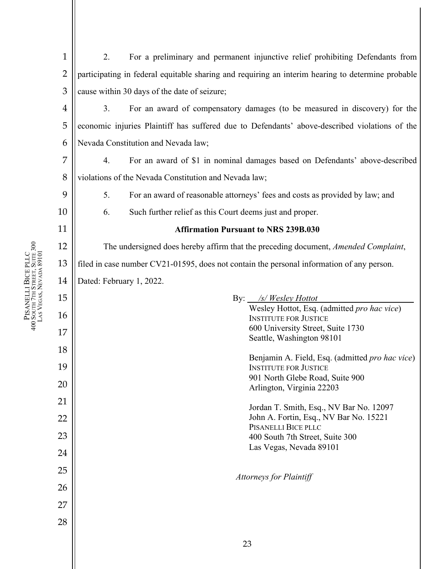| $\mathbf{1}$   | 2.                                                                                                | For a preliminary and permanent injunctive relief prohibiting Defendants from         |  |  |  |  |
|----------------|---------------------------------------------------------------------------------------------------|---------------------------------------------------------------------------------------|--|--|--|--|
| $\overline{2}$ | participating in federal equitable sharing and requiring an interim hearing to determine probable |                                                                                       |  |  |  |  |
| 3              | cause within 30 days of the date of seizure;                                                      |                                                                                       |  |  |  |  |
| 4              | For an award of compensatory damages (to be measured in discovery) for the<br>3.                  |                                                                                       |  |  |  |  |
| 5              | economic injuries Plaintiff has suffered due to Defendants' above-described violations of the     |                                                                                       |  |  |  |  |
| 6              | Nevada Constitution and Nevada law;                                                               |                                                                                       |  |  |  |  |
| 7              | For an award of \$1 in nominal damages based on Defendants' above-described<br>4.                 |                                                                                       |  |  |  |  |
| 8              | violations of the Nevada Constitution and Nevada law;                                             |                                                                                       |  |  |  |  |
| 9              | 5.                                                                                                | For an award of reasonable attorneys' fees and costs as provided by law; and          |  |  |  |  |
| 10             | 6.                                                                                                | Such further relief as this Court deems just and proper.                              |  |  |  |  |
| 11             | <b>Affirmation Pursuant to NRS 239B.030</b>                                                       |                                                                                       |  |  |  |  |
| 12             | The undersigned does hereby affirm that the preceding document, Amended Complaint,                |                                                                                       |  |  |  |  |
| 13             | filed in case number CV21-01595, does not contain the personal information of any person.         |                                                                                       |  |  |  |  |
| 14             | Dated: February 1, 2022.                                                                          |                                                                                       |  |  |  |  |
| 15             |                                                                                                   | By: $\frac{s}{\text{N}}$ Wesley Hottot<br>Wesley Hottot, Esq. (admitted pro hac vice) |  |  |  |  |
| 16             |                                                                                                   | <b>INSTITUTE FOR JUSTICE</b>                                                          |  |  |  |  |
| 17             | 600 University Street, Suite 1730<br>Seattle, Washington 98101                                    |                                                                                       |  |  |  |  |
| 18             |                                                                                                   | Benjamin A. Field, Esq. (admitted pro hac vice)                                       |  |  |  |  |
| 19             | <b>INSTITUTE FOR JUSTICE</b><br>901 North Glebe Road, Suite 900                                   |                                                                                       |  |  |  |  |
| 20             | Arlington, Virginia 22203                                                                         |                                                                                       |  |  |  |  |
| 21             |                                                                                                   | Jordan T. Smith, Esq., NV Bar No. 12097                                               |  |  |  |  |
| 22             |                                                                                                   | John A. Fortin, Esq., NV Bar No. 15221<br>PISANELLI BICE PLLC                         |  |  |  |  |
| 23             |                                                                                                   | 400 South 7th Street, Suite 300<br>Las Vegas, Nevada 89101                            |  |  |  |  |
| 24             |                                                                                                   |                                                                                       |  |  |  |  |
| 25             |                                                                                                   | <b>Attorneys for Plaintiff</b>                                                        |  |  |  |  |
| 26             |                                                                                                   |                                                                                       |  |  |  |  |
| 27             |                                                                                                   |                                                                                       |  |  |  |  |
| 28             |                                                                                                   |                                                                                       |  |  |  |  |
|                |                                                                                                   |                                                                                       |  |  |  |  |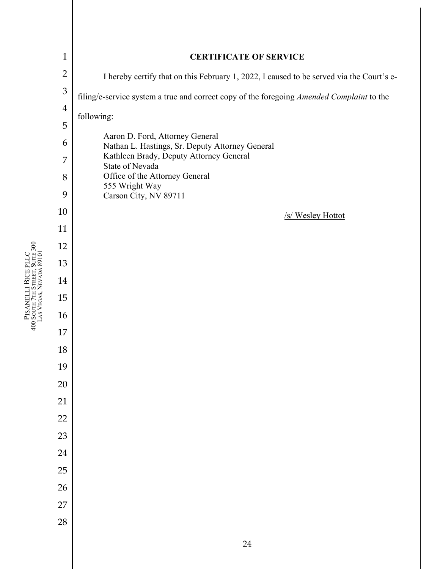| $\mathbf{1}$   | <b>CERTIFICATE OF SERVICE</b>                                                              |  |  |  |  |  |
|----------------|--------------------------------------------------------------------------------------------|--|--|--|--|--|
| $\overline{2}$ | I hereby certify that on this February 1, 2022, I caused to be served via the Court's e-   |  |  |  |  |  |
| $\mathfrak{Z}$ | filing/e-service system a true and correct copy of the foregoing Amended Complaint to the  |  |  |  |  |  |
| $\overline{4}$ | following:                                                                                 |  |  |  |  |  |
| 5              | Aaron D. Ford, Attorney General                                                            |  |  |  |  |  |
| 6              | Nathan L. Hastings, Sr. Deputy Attorney General<br>Kathleen Brady, Deputy Attorney General |  |  |  |  |  |
| 7              | State of Nevada                                                                            |  |  |  |  |  |
| 8              | Office of the Attorney General<br>555 Wright Way                                           |  |  |  |  |  |
| 9              | Carson City, NV 89711                                                                      |  |  |  |  |  |
| 10             | /s/ Wesley Hottot                                                                          |  |  |  |  |  |
| 11             |                                                                                            |  |  |  |  |  |
| 12             |                                                                                            |  |  |  |  |  |
| 13             |                                                                                            |  |  |  |  |  |
| 14             |                                                                                            |  |  |  |  |  |
| 15             |                                                                                            |  |  |  |  |  |
| 16             |                                                                                            |  |  |  |  |  |
| 17             |                                                                                            |  |  |  |  |  |
| 18             |                                                                                            |  |  |  |  |  |
| 19             |                                                                                            |  |  |  |  |  |
| $20\,$<br>21   |                                                                                            |  |  |  |  |  |
| 22             |                                                                                            |  |  |  |  |  |
| 23             |                                                                                            |  |  |  |  |  |
| 24             |                                                                                            |  |  |  |  |  |
| 25             |                                                                                            |  |  |  |  |  |
|                |                                                                                            |  |  |  |  |  |
|                |                                                                                            |  |  |  |  |  |
|                |                                                                                            |  |  |  |  |  |
|                | 2 <sub>1</sub>                                                                             |  |  |  |  |  |
| 26<br>27<br>28 |                                                                                            |  |  |  |  |  |